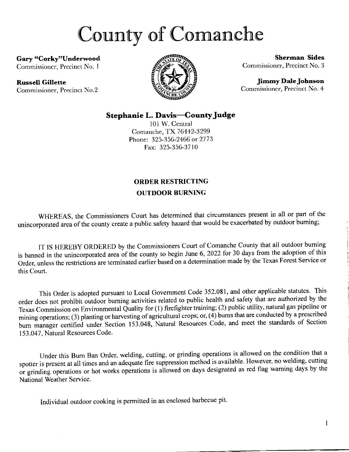## County of Comanche

Gary "Corky"Underwood

Commissioner, Precinct No. 1

## Russell Gillette

Commissioner, Precinct No.2



Sherrnan Sides Commissioner, Prccinct No. 3

Jimmy Dale Johnson Commissioner, Precinct No. 4

## Stephanie L. Davis-County Judge

l0l W. Central Comanche, TX 76442-3299 Phone: 325-356-2466 or 2773 Fax: 325-356-3710

## ORDER RESTRICTING OUTDOOR BURNING

WHEREAS, the Commissioners Court has determined that circumstances present in all or part of the unincorporated area of the county create a public safety hazard that would be exacerbated by outdoor burning;

lT IS HEREBY ORDERED by the Commissioners Court of Comanche County that all outdoor buming is banned in the unincorporated area of the county to begin June 6, 2022 for 30 days from the adoption of this Order, unless the restrictions are terminated earlier based on a determination made by the Texas Forest Service or this Court.

This Order is adopted pursuant to Local Govemment Code 352.081, and other applicable statutes. This order does not prohibit outdoor buming activities related to public health and safety that are authorized by the Texas Commission on Environmental Quality for (1) firefighter training; (2) public utility, natural gas pipeline or mining operations; (3) planting or harvesting of agricultural crops; or,  $(4)$  burns that are conducted by a prescribed burn manager certified under Section 153.048, Natural Resources Code, and meet the standards of Section 153.047, Natural Resources Code.

Under this Bum Ban Order, welding, cutting, or grinding operations is allowed on the condition that <sup>a</sup> spotter is present at all times and an adequate fire suppression method is available. However, no welding, cutting or grinding operations or hot works operations is allowed on days designated as red flag warning days by the National Weather Service.

Individual outdoor cooking is permitted in an enclosed barbecue pit.

 $\mathbf{1}$